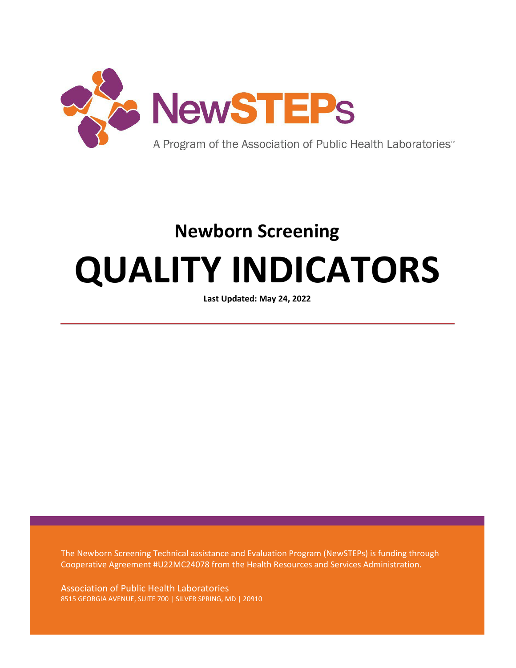

# **Newborn Screening QUALITY INDICATORS**

**Last Updated: May 24, 2022**

The Newborn Screening Technical assistance and Evaluation Program (NewSTEPs) is funding through Cooperative Agreement #U22MC24078 from the Health Resources and Services Administration.

Association of Public Health Laboratories 8515 GEORGIA AVENUE, SUITE 700 | SILVER SPRING, MD | 20910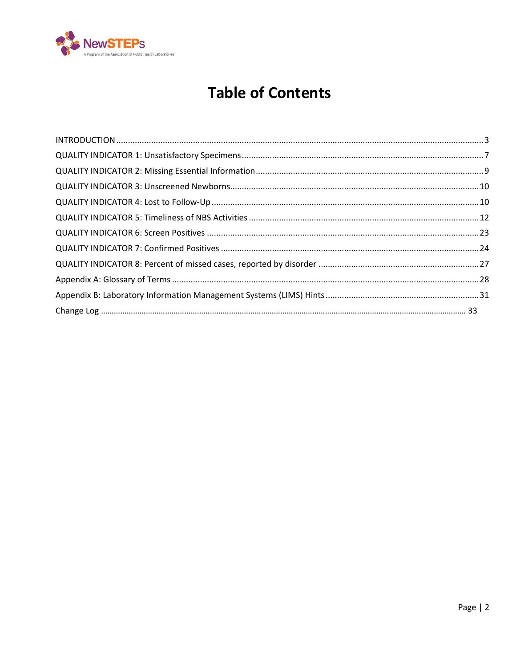

## **Table of Contents**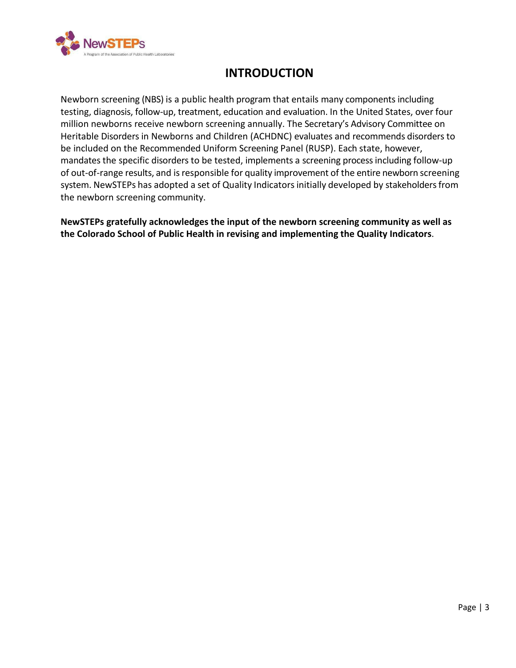<span id="page-2-0"></span>

## **INTRODUCTION**

Newborn screening (NBS) is a public health program that entails many components including testing, diagnosis, follow-up, treatment, education and evaluation. In the United States, over four million newborns receive newborn screening annually. The Secretary's Advisory Committee on Heritable Disorders in Newborns and Children (ACHDNC) evaluates and recommends disorders to be included on the Recommended Uniform Screening Panel (RUSP). Each state, however, mandates the specific disorders to be tested, implements a screening process including follow-up of out-of-range results, and is responsible for quality improvement of the entire newborn screening system. NewSTEPs has adopted a set of Quality Indicators initially developed by stakeholders from the newborn screening community.

**NewSTEPs gratefully acknowledges the input of the newborn screening community as well as the Colorado School of Public Health in revising and implementing the Quality Indicators**.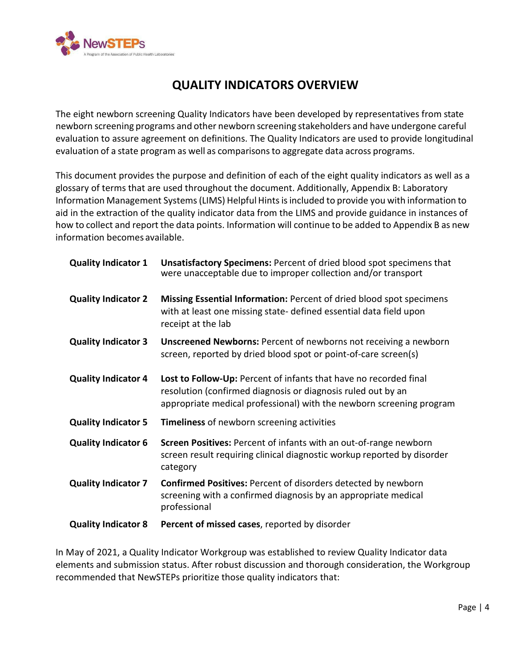

## **QUALITY INDICATORS OVERVIEW**

The eight newborn screening Quality Indicators have been developed by representatives from state newborn screening programs and other newborn screening stakeholders and have undergone careful evaluation to assure agreement on definitions. The Quality Indicators are used to provide longitudinal evaluation of a state program as well as comparisonsto aggregate data across programs.

This document provides the purpose and definition of each of the eight quality indicators as well as a glossary of terms that are used throughout the document. Additionally, Appendix B: Laboratory Information Management Systems (LIMS) Helpful Hints is included to provide you with information to aid in the extraction of the quality indicator data from the LIMS and provide guidance in instances of how to collect and report the data points. Information will continue to be added to Appendix B as new information becomes available.

| <b>Quality Indicator 1</b> | <b>Unsatisfactory Specimens: Percent of dried blood spot specimens that</b><br>were unacceptable due to improper collection and/or transport                                                              |
|----------------------------|-----------------------------------------------------------------------------------------------------------------------------------------------------------------------------------------------------------|
| <b>Quality Indicator 2</b> | Missing Essential Information: Percent of dried blood spot specimens<br>with at least one missing state- defined essential data field upon<br>receipt at the lab                                          |
| <b>Quality Indicator 3</b> | <b>Unscreened Newborns: Percent of newborns not receiving a newborn</b><br>screen, reported by dried blood spot or point-of-care screen(s)                                                                |
| <b>Quality Indicator 4</b> | Lost to Follow-Up: Percent of infants that have no recorded final<br>resolution (confirmed diagnosis or diagnosis ruled out by an<br>appropriate medical professional) with the newborn screening program |
| <b>Quality Indicator 5</b> | <b>Timeliness of newborn screening activities</b>                                                                                                                                                         |
| <b>Quality Indicator 6</b> | <b>Screen Positives:</b> Percent of infants with an out-of-range newborn<br>screen result requiring clinical diagnostic workup reported by disorder<br>category                                           |
| <b>Quality Indicator 7</b> | <b>Confirmed Positives: Percent of disorders detected by newborn</b><br>screening with a confirmed diagnosis by an appropriate medical<br>professional                                                    |
| <b>Quality Indicator 8</b> | Percent of missed cases, reported by disorder                                                                                                                                                             |

In May of 2021, a Quality Indicator Workgroup was established to review Quality Indicator data elements and submission status. After robust discussion and thorough consideration, the Workgroup recommended that NewSTEPs prioritize those quality indicators that: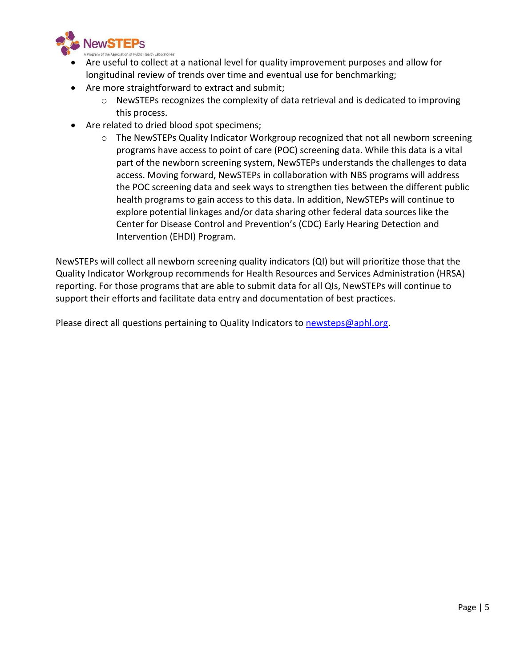

- Are useful to collect at a national level for quality improvement purposes and allow for longitudinal review of trends over time and eventual use for benchmarking;
- Are more straightforward to extract and submit;
	- o NewSTEPs recognizes the complexity of data retrieval and is dedicated to improving this process.
- Are related to dried blood spot specimens;
	- o The NewSTEPs Quality Indicator Workgroup recognized that not all newborn screening programs have access to point of care (POC) screening data. While this data is a vital part of the newborn screening system, NewSTEPs understands the challenges to data access. Moving forward, NewSTEPs in collaboration with NBS programs will address the POC screening data and seek ways to strengthen ties between the different public health programs to gain access to this data. In addition, NewSTEPs will continue to explore potential linkages and/or data sharing other federal data sources like the Center for Disease Control and Prevention's (CDC) Early Hearing Detection and Intervention (EHDI) Program.

NewSTEPs will collect all newborn screening quality indicators (QI) but will prioritize those that the Quality Indicator Workgroup recommends for Health Resources and Services Administration (HRSA) reporting. For those programs that are able to submit data for all QIs, NewSTEPs will continue to support their efforts and facilitate data entry and documentation of best practices.

Please direct all questions pertaining to Quality Indicators to [newsteps@aphl.org.](mailto:newsteps@aphl.org)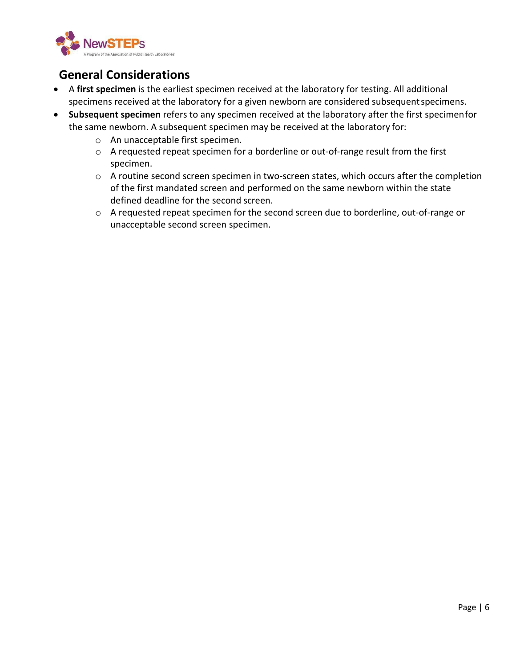

## **General Considerations**

- A **first specimen** is the earliest specimen received at the laboratory for testing. All additional specimens received at the laboratory for a given newborn are considered subsequentspecimens.
- **Subsequent specimen** refers to any specimen received at the laboratory after the first specimenfor the same newborn. A subsequent specimen may be received at the laboratory for:
	- o An unacceptable first specimen.
	- o A requested repeat specimen for a borderline or out-of-range result from the first specimen.
	- o A routine second screen specimen in two-screen states, which occurs after the completion of the first mandated screen and performed on the same newborn within the state defined deadline for the second screen.
	- o A requested repeat specimen for the second screen due to borderline, out-of-range or unacceptable second screen specimen.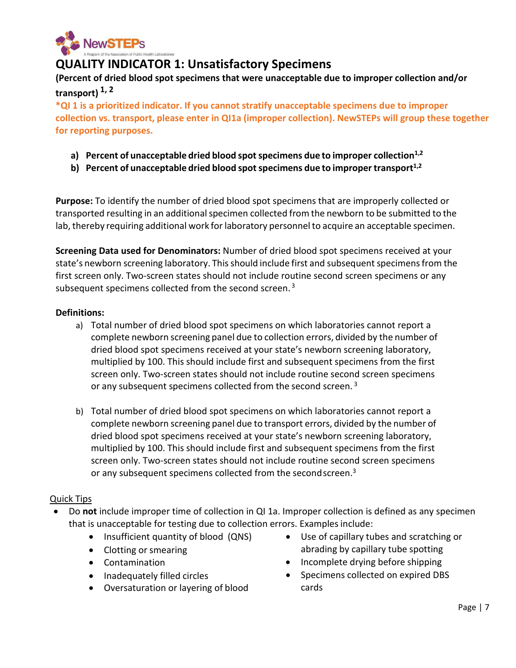

## <span id="page-6-0"></span>**QUALITY INDICATOR 1: Unsatisfactory Specimens**

**(Percent of dried blood spot specimens that were unacceptable due to improper collection and/or transport) 1, 2**

**\*QI 1 is a prioritized indicator. If you cannot stratify unacceptable specimens due to improper collection vs. transport, please enter in QI1a (improper collection). NewSTEPs will group these together for reporting purposes.** 

- **a) Percent of unacceptable dried blood spotspecimens due to improper collection1,2**
- **b) Percent of unacceptable dried blood spotspecimens due to improper transport1,2**

**Purpose:** To identify the number of dried blood spot specimens that are improperly collected or transported resulting in an additional specimen collected from the newborn to be submitted to the lab, thereby requiring additional work for laboratory personnel to acquire an acceptable specimen.

**Screening Data used for Denominators:** Number of dried blood spot specimens received at your state's newborn screening laboratory. This should include first and subsequent specimens from the first screen only. Two-screen states should not include routine second screen specimens or any subsequent specimens collected from the second screen.<sup>3</sup>

#### **Definitions:**

- a) Total number of dried blood spot specimens on which laboratories cannot report a complete newborn screening panel due to collection errors, divided by the number of dried blood spot specimens received at your state's newborn screening laboratory, multiplied by 100. This should include first and subsequent specimens from the first screen only. Two-screen states should not include routine second screen specimens or any subsequent specimens collected from the second screen.<sup>3</sup>
- b) Total number of dried blood spot specimens on which laboratories cannot report a complete newborn screening panel due to transport errors, divided by the number of dried blood spot specimens received at your state's newborn screening laboratory, multiplied by 100. This should include first and subsequent specimens from the first screen only. Two-screen states should not include routine second screen specimens or any subsequent specimens collected from the second screen.<sup>3</sup>

#### Quick Tips

- Do **not** include improper time of collection in QI 1a. Improper collection is defined as any specimen that is unacceptable for testing due to collection errors. Examples include:
	- Insufficient quantity of blood (QNS)
	- Clotting or smearing
	- Contamination
	- Inadequately filled circles
	- Oversaturation or layering of blood
- Use of capillary tubes and scratching or abrading by capillary tube spotting
- Incomplete drying before shipping
- Specimens collected on expired DBS cards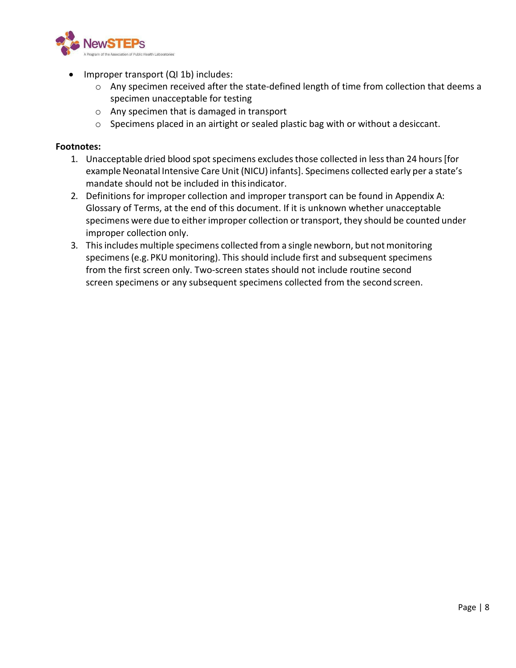

- Improper transport (QI 1b) includes:
	- $\circ$  Any specimen received after the state-defined length of time from collection that deems a specimen unacceptable for testing
	- o Any specimen that is damaged in transport
	- o Specimens placed in an airtight or sealed plastic bag with or without a desiccant.

- 1. Unacceptable dried blood spot specimens excludes those collected in less than 24 hours [for example Neonatal Intensive Care Unit (NICU) infants]. Specimens collected early per a state's mandate should not be included in thisindicator.
- 2. Definitions for improper collection and improper transport can be found in Appendix A: Glossary of Terms, at the end of this document. If it is unknown whether unacceptable specimens were due to either improper collection or transport, they should be counted under improper collection only.
- 3. This includes multiple specimens collected from a single newborn, but not monitoring specimens(e.g. PKU monitoring). This should include first and subsequent specimens from the first screen only. Two-screen states should not include routine second screen specimens or any subsequent specimens collected from the second screen.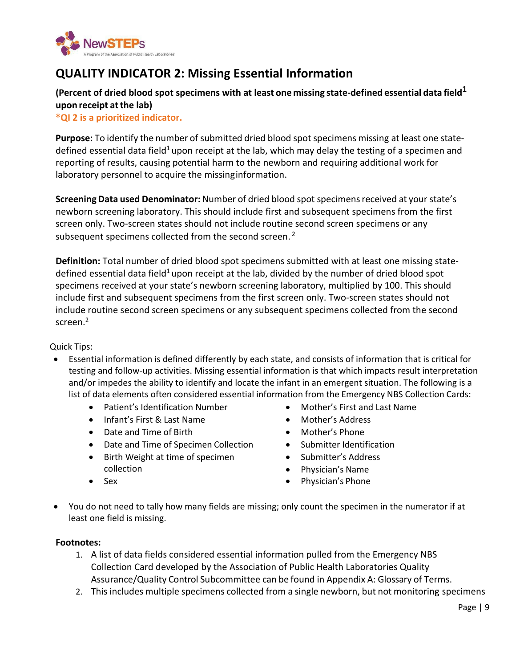

## <span id="page-8-0"></span>**QUALITY INDICATOR 2: Missing Essential Information**

#### **(Percent of dried blood spot specimens with at least one missing state-defined essential data field<sup>1</sup> upon receipt atthe lab)**

**\*QI 2 is a prioritized indicator.**

**Purpose:** To identify the number of submitted dried blood spot specimens missing at least one statedefined essential data field<sup>1</sup> upon receipt at the lab, which may delay the testing of a specimen and reporting of results, causing potential harm to the newborn and requiring additional work for laboratory personnel to acquire the missinginformation.

**Screening Data used Denominator:** Number of dried blood spot specimensreceived at your state's newborn screening laboratory. This should include first and subsequent specimens from the first screen only. Two-screen states should not include routine second screen specimens or any subsequent specimens collected from the second screen.<sup>2</sup>

**Definition:** Total number of dried blood spot specimens submitted with at least one missing statedefined essential data field<sup>1</sup> upon receipt at the lab, divided by the number of dried blood spot specimens received at your state's newborn screening laboratory, multiplied by 100. This should include first and subsequent specimens from the first screen only. Two-screen states should not include routine second screen specimens or any subsequent specimens collected from the second screen.2

#### Quick Tips:

- Essential information is defined differently by each state, and consists of information that is critical for testing and follow-up activities. Missing essential information is that which impacts result interpretation and/or impedes the ability to identify and locate the infant in an emergent situation. The following is a list of data elements often considered essential information from the Emergency NBS Collection Cards:
	- Patient's Identification Number
	- Infant's First & Last Name
	- Date and Time of Birth
	- Date and Time of Specimen Collection
	- Birth Weight at time of specimen collection
	- Sex
- Mother's First and Last Name
- Mother's Address
- Mother's Phone
- Submitter Identification
- Submitter's Address
- Physician's Name
- Physician's Phone
- You do not need to tally how many fields are missing; only count the specimen in the numerator if at least one field is missing.

- 1. A list of data fields considered essential information pulled from the Emergency NBS Collection Card developed by the Association of Public Health Laboratories Quality Assurance/Quality Control Subcommittee can be found in Appendix A: Glossary of Terms.
- 2. This includes multiple specimens collected from a single newborn, but not monitoring specimens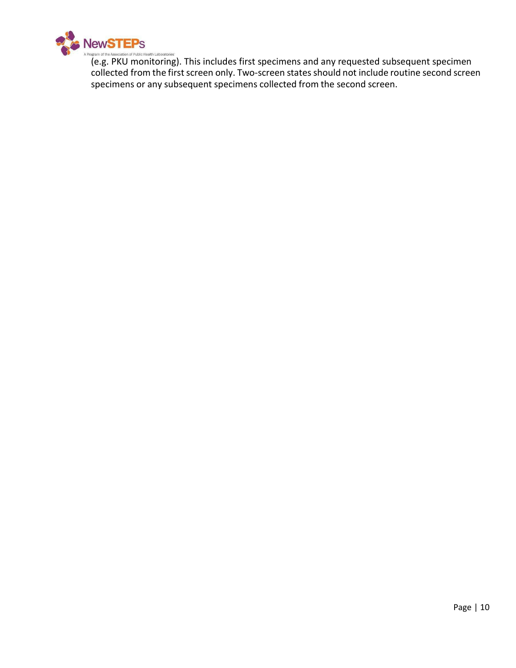

(e.g. PKU monitoring). This includes first specimens and any requested subsequent specimen collected from the first screen only. Two-screen states should not include routine second screen specimens or any subsequent specimens collected from the second screen.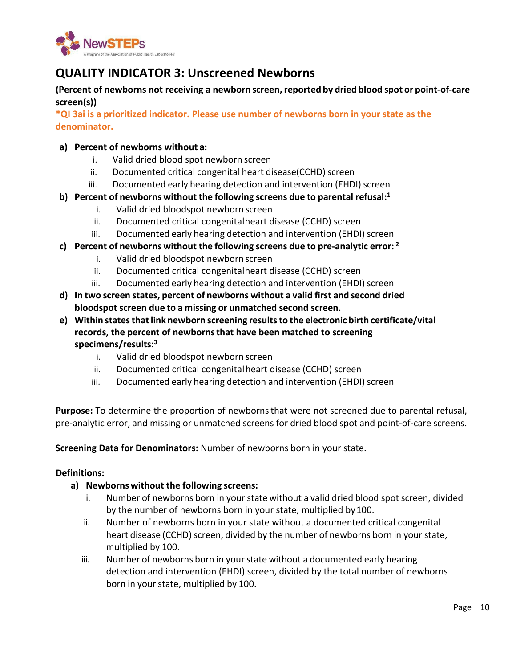

## <span id="page-10-0"></span>**QUALITY INDICATOR 3: Unscreened Newborns**

**(Percent of newborns not receiving a newborn screen,reported by dried blood spot or point-of-care screen(s))**

**\*QI 3ai is a prioritized indicator. Please use number of newborns born in your state as the denominator.** 

#### **a) Percent of newborns without a:**

- i. Valid dried blood spot newborn screen
- ii. Documented critical congenital heart disease(CCHD) screen
- iii. Documented early hearing detection and intervention (EHDI) screen
- **b) Percent of newborns without the following screens due to parental refusal:1**
	- i. Valid dried bloodspot newborn screen
	- ii. Documented critical congenitalheart disease (CCHD) screen
	- iii. Documented early hearing detection and intervention (EHDI) screen
- **c) Percent of newborns without the following screens due to pre-analytic error: <sup>2</sup>**
	- i. Valid dried bloodspot newborn screen
	- ii. Documented critical congenitalheart disease (CCHD) screen
	- iii. Documented early hearing detection and intervention (EHDI) screen
- **d) In two screen states, percent of newborns without a valid first and second dried bloodspot screen due to a missing or unmatched second screen.**
- **e) Within statesthatlink newborn screening resultsto the electronic birth certificate/vital records, the percent of newbornsthat have been matched to screening specimens/results:3**
	- i. Valid dried bloodspot newborn screen
	- ii. Documented critical congenitalheart disease (CCHD) screen
	- iii. Documented early hearing detection and intervention (EHDI) screen

**Purpose:** To determine the proportion of newbornsthat were not screened due to parental refusal, pre-analytic error, and missing or unmatched screens for dried blood spot and point-of-care screens.

**Screening Data for Denominators:** Number of newborns born in your state.

#### **Definitions:**

#### **a) Newborns without the following screens:**

- i. Number of newborns born in yourstate without a valid dried blood spot screen, divided by the number of newborns born in your state, multiplied by100.
- ii. Number of newborns born in your state without a documented critical congenital heart disease (CCHD) screen, divided by the number of newborns born in your state, multiplied by 100.
- iii. Number of newborns born in your state without a documented early hearing detection and intervention (EHDI) screen, divided by the total number of newborns born in your state, multiplied by 100.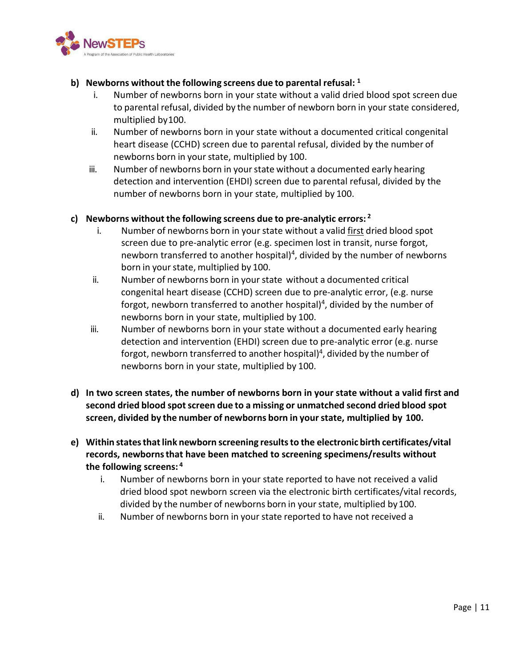

#### **b) Newborns without the following screens due to parental refusal: <sup>1</sup>**

- i. Number of newborns born in your state without a valid dried blood spot screen due to parental refusal, divided by the number of newborn born in yourstate considered, multiplied by100.
- ii. Number of newborns born in your state without a documented critical congenital heart disease (CCHD) screen due to parental refusal, divided by the number of newborns born in your state, multiplied by 100.
- iii. Number of newborns born in your state without a documented early hearing detection and intervention (EHDI) screen due to parental refusal, divided by the number of newborns born in your state, multiplied by 100.

#### **c) Newborns without the following screens due to pre-analytic errors: <sup>2</sup>**

- i. Number of newborns born in yourstate without a valid first dried blood spot screen due to pre-analytic error (e.g. specimen lost in transit, nurse forgot, newborn transferred to another hospital)<sup>4</sup>, divided by the number of newborns born in your state, multiplied by 100.
- ii. Number of newborns born in yourstate without a documented critical congenital heart disease (CCHD) screen due to pre-analytic error, (e.g. nurse forgot, newborn transferred to another hospital)<sup>4</sup>, divided by the number of newborns born in your state, multiplied by 100.
- iii. Number of newborns born in your state without a documented early hearing detection and intervention (EHDI) screen due to pre-analytic error (e.g. nurse forgot, newborn transferred to another hospital)<sup>4</sup>, divided by the number of newborns born in your state, multiplied by 100.
- **d) In two screen states, the number of newborns born in your state without a valid first and second dried blood spotscreen due to a missing or unmatched second dried blood spot screen, divided by the number of newborns born in yourstate, multiplied by 100.**
- **e) Within statesthatlink newborn screening resultsto the electronic birth certificates/vital records, newbornsthat have been matched to screening specimens/results without the following screens: <sup>4</sup>**
	- i. Number of newborns born in your state reported to have not received a valid dried blood spot newborn screen via the electronic birth certificates/vital records, divided by the number of newborns born in your state, multiplied by 100.
	- ii. Number of newborns born in your state reported to have not received a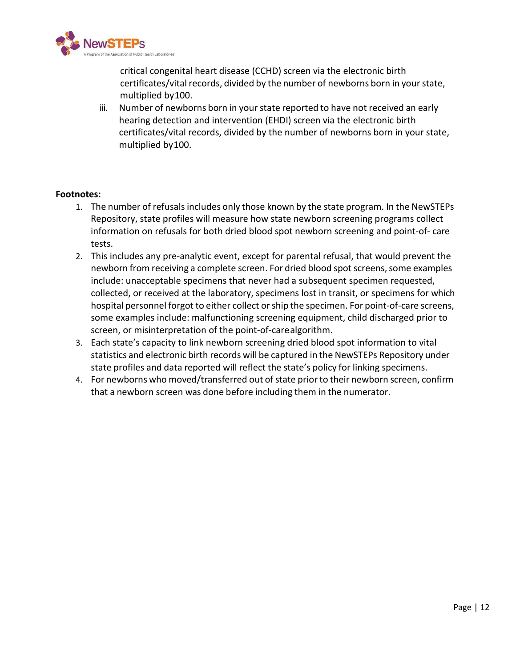

critical congenital heart disease (CCHD) screen via the electronic birth certificates/vital records, divided by the number of newborns born in your state, multiplied by100.

iii. Number of newborns born in your state reported to have not received an early hearing detection and intervention (EHDI) screen via the electronic birth certificates/vital records, divided by the number of newborns born in your state, multiplied by100.

- 1. The number of refusalsincludes only those known by the state program. In the NewSTEPs Repository, state profiles will measure how state newborn screening programs collect information on refusals for both dried blood spot newborn screening and point-of- care tests.
- 2. This includes any pre-analytic event, except for parental refusal, that would prevent the newborn from receiving a complete screen. For dried blood spot screens, some examples include: unacceptable specimens that never had a subsequent specimen requested, collected, or received at the laboratory, specimens lost in transit, or specimens for which hospital personnel forgot to either collect or ship the specimen. For point-of-care screens, some examples include: malfunctioning screening equipment, child discharged prior to screen, or misinterpretation of the point-of-carealgorithm.
- 3. Each state's capacity to link newborn screening dried blood spot information to vital statistics and electronic birth records will be captured in the NewSTEPs Repository under state profiles and data reported will reflect the state's policy for linking specimens.
- 4. For newborns who moved/transferred out of state prior to their newborn screen, confirm that a newborn screen was done before including them in the numerator.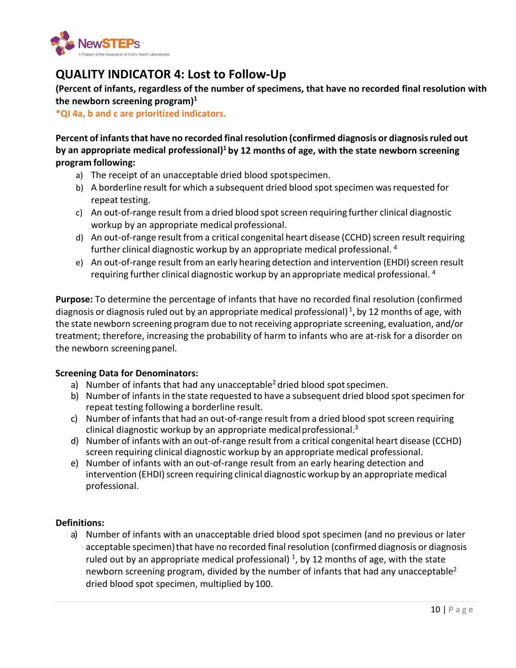

## <span id="page-13-0"></span>**QUALITY INDICATOR 4: Lost to Follow-Up**

**(Percent of infants, regardless of the number of specimens, that have no recorded final resolution with the newborn screening program)1**

**\*QI 4a, b and c are prioritized indicators.**

**Percent of infantsthat have no recorded finalresolution (confirmed diagnosis or diagnosisruled out by an appropriate medical professional)1 by 12 months of age, with the state newborn screening program following:**

- a) The receipt of an unacceptable dried blood spotspecimen.
- b) A borderline result for which a subsequent dried blood spot specimen was requested for repeat testing.
- c) An out-of-range result from a dried blood spotscreen requiring further clinical diagnostic workup by an appropriate medical professional.
- d) An out-of-range result from a critical congenital heart disease (CCHD) screen result requiring further clinical diagnostic workup by an appropriate medical professional. <sup>4</sup>
- e) An out-of-range result from an early hearing detection and intervention (EHDI) screen result requiring further clinical diagnostic workup by an appropriate medical professional. <sup>4</sup>

**Purpose:** To determine the percentage of infants that have no recorded final resolution (confirmed diagnosis or diagnosis ruled out by an appropriate medical professional)<sup>1</sup>, by 12 months of age, with the state newborn screening program due to not receiving appropriate screening, evaluation, and/or treatment; therefore, increasing the probability of harm to infants who are at-risk for a disorder on the newborn screeningpanel.

#### **Screening Data for Denominators:**

- a) Number of infants that had any unacceptable<sup>2</sup> dried blood spot specimen.
- b) Number of infants in the state requested to have a subsequent dried blood spot specimen for repeat testing following a borderline result.
- c) Number of infants that had an out-of-range result from a dried blood spot screen requiring clinical diagnostic workup by an appropriate medical professional. $3$
- d) Number of infants with an out-of-range result from a critical congenital heart disease (CCHD) screen requiring clinical diagnostic workup by an appropriate medical professional.
- e) Number of infants with an out-of-range result from an early hearing detection and intervention (EHDI) screen requiring clinical diagnostic workup by an appropriate medical professional.

#### **Definitions:**

a) Number of infants with an unacceptable dried blood spot specimen (and no previous or later acceptable specimen) that have no recorded final resolution (confirmed diagnosis or diagnosis ruled out by an appropriate medical professional)  $<sup>1</sup>$ , by 12 months of age, with the state</sup> newborn screening program, divided by the number of infants that had any unacceptable<sup>2</sup> dried blood spot specimen, multiplied by 100.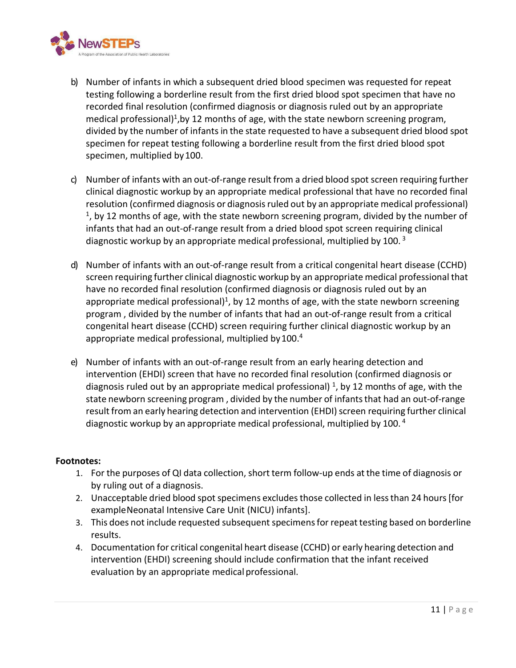

- b) Number of infants in which a subsequent dried blood specimen was requested for repeat testing following a borderline result from the first dried blood spot specimen that have no recorded final resolution (confirmed diagnosis or diagnosis ruled out by an appropriate medical professional)<sup>1</sup>, by 12 months of age, with the state newborn screening program, divided by the number of infants in the state requested to have a subsequent dried blood spot specimen for repeat testing following a borderline result from the first dried blood spot specimen, multiplied by100.
- c) Number of infants with an out-of-range result from a dried blood spot screen requiring further clinical diagnostic workup by an appropriate medical professional that have no recorded final resolution (confirmed diagnosis or diagnosis ruled out by an appropriate medical professional)  $<sup>1</sup>$ , by 12 months of age, with the state newborn screening program, divided by the number of</sup> infants that had an out-of-range result from a dried blood spot screen requiring clinical diagnostic workup by an appropriate medical professional, multiplied by 100.<sup>3</sup>
- d) Number of infants with an out-of-range result from a critical congenital heart disease (CCHD) screen requiring further clinical diagnostic workup by an appropriate medical professional that have no recorded final resolution (confirmed diagnosis or diagnosis ruled out by an appropriate medical professional)<sup>1</sup>, by 12 months of age, with the state newborn screening program , divided by the number of infants that had an out-of-range result from a critical congenital heart disease (CCHD) screen requiring further clinical diagnostic workup by an appropriate medical professional, multiplied by 100.<sup>4</sup>
- e) Number of infants with an out-of-range result from an early hearing detection and intervention (EHDI) screen that have no recorded final resolution (confirmed diagnosis or diagnosis ruled out by an appropriate medical professional)  $<sup>1</sup>$ , by 12 months of age, with the</sup> state newborn screening program, divided by the number of infants that had an out-of-range result from an early hearing detection and intervention (EHDI) screen requiring further clinical diagnostic workup by an appropriate medical professional, multiplied by 100. <sup>4</sup>

- 1. For the purposes of QI data collection, short term follow-up ends at the time of diagnosis or by ruling out of a diagnosis.
- 2. Unacceptable dried blood spot specimens excludes those collected in less than 24 hours [for exampleNeonatal Intensive Care Unit (NICU) infants].
- 3. This does not include requested subsequent specimens for repeat testing based on borderline results.
- 4. Documentation for critical congenital heart disease (CCHD) or early hearing detection and intervention (EHDI) screening should include confirmation that the infant received evaluation by an appropriate medical professional.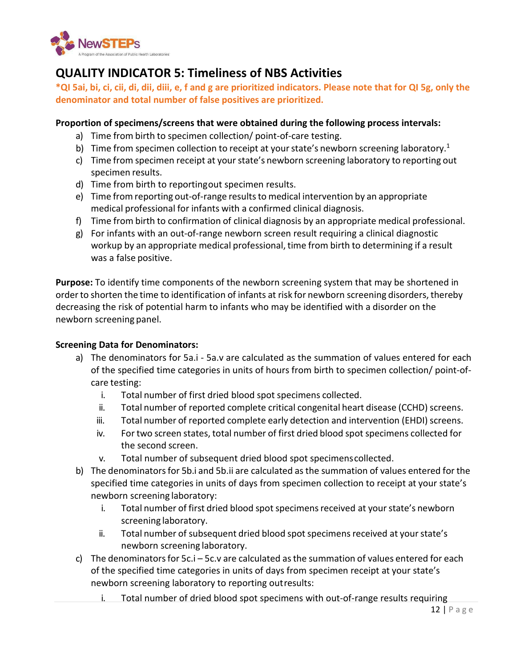

## <span id="page-15-0"></span>**QUALITY INDICATOR 5: Timeliness of NBS Activities**

**\*QI 5ai, bi, ci, cii, di, dii, diii, e, f and g are prioritized indicators. Please note that for QI 5g, only the denominator and total number of false positives are prioritized.** 

#### **Proportion of specimens/screens that were obtained during the following process intervals:**

- a) Time from birth to specimen collection/ point-of-care testing.
- b) Time from specimen collection to receipt at your state's newborn screening laboratory.<sup>1</sup>
- c) Time from specimen receipt at your state's newborn screening laboratory to reporting out specimen results.
- d) Time from birth to reportingout specimen results.
- e) Time from reporting out-of-range resultsto medical intervention by an appropriate medical professional for infants with a confirmed clinical diagnosis.
- f) Time from birth to confirmation of clinical diagnosis by an appropriate medical professional.
- g) For infants with an out-of-range newborn screen result requiring a clinical diagnostic workup by an appropriate medical professional, time from birth to determining if a result was a false positive.

**Purpose:** To identify time components of the newborn screening system that may be shortened in orderto shorten the time to identification of infants at risk for newborn screening disorders, thereby decreasing the risk of potential harm to infants who may be identified with a disorder on the newborn screening panel.

#### **Screening Data for Denominators:**

- a) The denominators for 5a.i 5a.v are calculated as the summation of values entered for each of the specified time categories in units of hours from birth to specimen collection/ point-ofcare testing:
	- i. Total number of first dried blood spot specimens collected.
	- ii. Total number of reported complete critical congenital heart disease (CCHD) screens.
	- iii. Total number of reported complete early detection and intervention (EHDI) screens.
	- iv. For two screen states, total number of first dried blood spot specimens collected for the second screen.
	- v. Total number of subsequent dried blood spot specimenscollected.
- b) The denominators for 5b.i and 5b.ii are calculated as the summation of values entered for the specified time categories in units of days from specimen collection to receipt at your state's newborn screening laboratory:
	- i. Total number of first dried blood spot specimens received at your state's newborn screening laboratory.
	- ii. Total number of subsequent dried blood spot specimens received at your state's newborn screening laboratory.
- c) The denominators for  $5c.i 5c.v$  are calculated as the summation of values entered for each of the specified time categories in units of days from specimen receipt at your state's newborn screening laboratory to reporting outresults:
	- i. Total number of dried blood spot specimens with out-of-range results requiring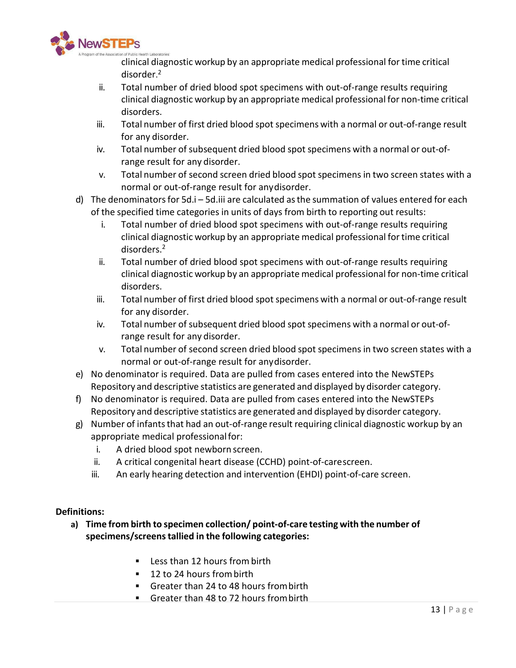

clinical diagnostic workup by an appropriate medical professional for time critical disorder. 2

- ii. Total number of dried blood spot specimens with out-of-range results requiring clinical diagnostic workup by an appropriate medical professional for non-time critical disorders.
- iii. Total number of first dried blood spot specimens with a normal or out-of-range result for any disorder.
- iv. Total number of subsequent dried blood spot specimens with a normal or out-ofrange result for any disorder.
- v. Total number of second screen dried blood spot specimens in two screen states with a normal or out-of-range result for anydisorder.
- d) The denominators for 5d.i 5d.iii are calculated as the summation of values entered for each of the specified time categories in units of days from birth to reporting out results:
	- i. Total number of dried blood spot specimens with out-of-range results requiring clinical diagnostic workup by an appropriate medical professional fortime critical disorders.2
	- ii. Total number of dried blood spot specimens with out-of-range results requiring clinical diagnostic workup by an appropriate medical professional for non-time critical disorders.
	- iii. Total number of first dried blood spot specimens with a normal or out-of-range result for any disorder.
	- iv. Total number of subsequent dried blood spot specimens with a normal or out-ofrange result for any disorder.
	- v. Total number of second screen dried blood spot specimens in two screen states with a normal or out-of-range result for anydisorder.
- e) No denominator is required. Data are pulled from cases entered into the NewSTEPs Repository and descriptive statistics are generated and displayed by disorder category.
- f) No denominator is required. Data are pulled from cases entered into the NewSTEPs Repository and descriptive statistics are generated and displayed by disorder category.
- g) Number of infants that had an out-of-range result requiring clinical diagnostic workup by an appropriate medical professionalfor:
	- i. A dried blood spot newborn screen.
	- ii. A critical congenital heart disease (CCHD) point-of-carescreen.
	- iii. An early hearing detection and intervention (EHDI) point-of-care screen.

#### **Definitions:**

- **a) Time from birth to specimen collection/ point-of-care testing with the number of specimens/screenstallied in the following categories:**
	- **Less than 12 hours from birth**
	- 12 to 24 hours from birth
	- Greater than 24 to 48 hours from birth
	- Greater than 48 to 72 hours from birth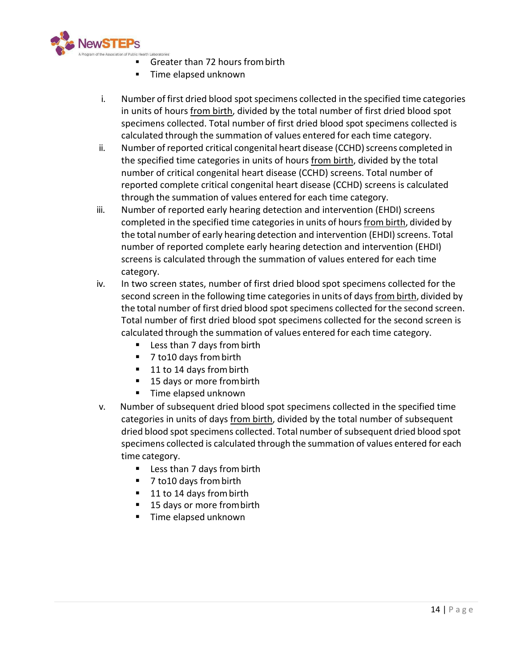

- Greater than 72 hours frombirth
- **Time elapsed unknown**
- i. Number of first dried blood spot specimens collected in the specified time categories in units of hours from birth, divided by the total number of first dried blood spot specimens collected. Total number of first dried blood spot specimens collected is calculated through the summation of values entered for each time category.
- ii. Number of reported critical congenital heart disease (CCHD) screens completed in the specified time categories in units of hours from birth, divided by the total number of critical congenital heart disease (CCHD) screens. Total number of reported complete critical congenital heart disease (CCHD) screens is calculated through the summation of values entered for each time category.
- iii. Number of reported early hearing detection and intervention (EHDI) screens completed in the specified time categories in units of hours from birth, divided by the total number of early hearing detection and intervention (EHDI) screens. Total number of reported complete early hearing detection and intervention (EHDI) screens is calculated through the summation of values entered for each time category.
- iv. In two screen states, number of first dried blood spot specimens collected for the second screen in the following time categories in units of days from birth, divided by the total number of first dried blood spot specimens collected forthe second screen. Total number of first dried blood spot specimens collected for the second screen is calculated through the summation of values entered for each time category.
	- Less than 7 days from birth
	- 7 to10 days from birth
	- 11 to 14 days from birth
	- 15 days or more from birth
	- **Time elapsed unknown**
- v. Number of subsequent dried blood spot specimens collected in the specified time categories in units of days from birth, divided by the total number of subsequent dried blood spot specimens collected. Total number of subsequent dried blood spot specimens collected is calculated through the summation of values entered for each time category.
	- Less than 7 days from birth
	- 7 to10 days from birth
	- 11 to 14 days from birth
	- 15 days or more from birth
	- Time elapsed unknown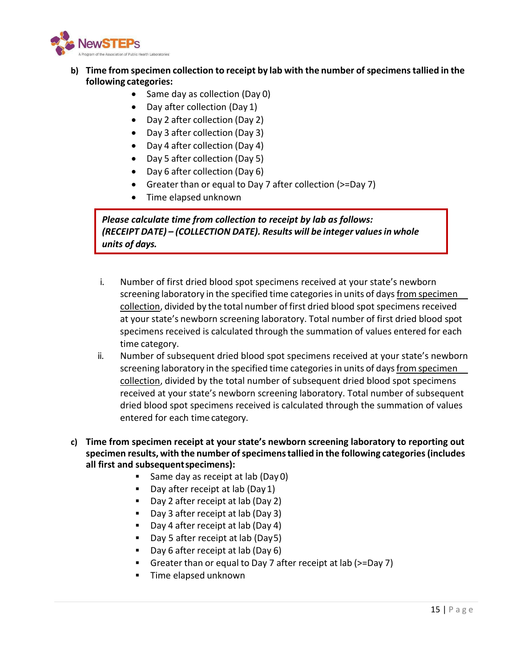

#### **b) Time from specimen collection to receipt by lab with the number of specimenstallied in the following categories:**

- Same day as collection (Day 0)
- Day after collection (Day 1)
- Day 2 after collection (Day 2)
- Day 3 after collection (Day 3)
- Day 4 after collection (Day 4)
- Day 5 after collection (Day 5)
- Day 6 after collection (Day 6)
- Greater than or equal to Day 7 after collection (>=Day 7)
- Time elapsed unknown

*Please calculate time from collection to receipt by lab as follows: (RECEIPT DATE) – (COLLECTION DATE). Results will be integer valuesin whole units of days.*

- i. Number of first dried blood spot specimens received at your state's newborn screening laboratory in the specified time categories in units of days from specimen collection, divided by the total number of first dried blood spot specimens received at your state's newborn screening laboratory. Total number of first dried blood spot specimens received is calculated through the summation of values entered for each time category.
- ii. Number of subsequent dried blood spot specimens received at your state's newborn screening laboratory in the specified time categories in units of days from specimen collection, divided by the total number of subsequent dried blood spot specimens received at your state's newborn screening laboratory. Total number of subsequent dried blood spot specimens received is calculated through the summation of values entered for each time category.
- **c) Time from specimen receipt at your state's newborn screening laboratory to reporting out specimen results, with the number ofspecimenstallied in the following categories(includes all first and subsequentspecimens):**
	- **Same day as receipt at lab (Day 0)**
	- Day after receipt at lab (Day 1)
	- Day 2 after receipt at lab (Day 2)
	- Day 3 after receipt at lab (Day 3)
	- Day 4 after receipt at lab (Day 4)
	- Day 5 after receipt at lab (Day5)
	- Day 6 after receipt at lab (Day 6)
	- Greater than or equal to Day 7 after receipt at lab (>=Day 7)
	- **Time elapsed unknown**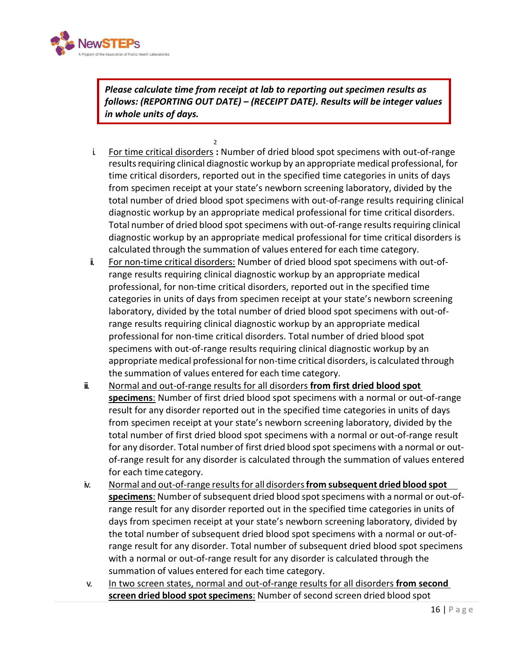

*Please calculate time from receipt at lab to reporting out specimen results as follows: (REPORTING OUT DATE) – (RECEIPT DATE). Results will be integer values in whole units of days.*

- 2 i. For time critical disorders **:** Number of dried blood spot specimens with out-of-range results requiring clinical diagnostic workup by an appropriate medical professional, for time critical disorders, reported out in the specified time categories in units of days from specimen receipt at your state's newborn screening laboratory, divided by the total number of dried blood spot specimens with out-of-range results requiring clinical diagnostic workup by an appropriate medical professional for time critical disorders. Total number of dried blood spot specimens with out-of-range results requiring clinical diagnostic workup by an appropriate medical professional for time critical disorders is calculated through the summation of values entered for each time category.
- ii. For non-time critical disorders: Number of dried blood spot specimens with out-ofrange results requiring clinical diagnostic workup by an appropriate medical professional, for non-time critical disorders, reported out in the specified time categories in units of days from specimen receipt at your state's newborn screening laboratory, divided by the total number of dried blood spot specimens with out-ofrange results requiring clinical diagnostic workup by an appropriate medical professional for non-time critical disorders. Total number of dried blood spot specimens with out-of-range results requiring clinical diagnostic workup by an appropriate medical professional for non-time critical disorders, is calculated through the summation of values entered for each time category.
- iii. Normal and out-of-range results for all disorders **from first dried blood spot specimens**: Number of first dried blood spot specimens with a normal or out-of-range result for any disorder reported out in the specified time categories in units of days from specimen receipt at your state's newborn screening laboratory, divided by the total number of first dried blood spot specimens with a normal or out-of-range result for any disorder. Total number of first dried blood spot specimens with a normal or outof-range result for any disorder is calculated through the summation of values entered for each time category.
- iv. Normal and out-of-range resultsfor all disorders**from subsequent dried blood spot specimens**: Number of subsequent dried blood spotspecimens with a normal or out-ofrange result for any disorder reported out in the specified time categories in units of days from specimen receipt at your state's newborn screening laboratory, divided by the total number of subsequent dried blood spot specimens with a normal or out-ofrange result for any disorder. Total number of subsequent dried blood spot specimens with a normal or out-of-range result for any disorder is calculated through the summation of values entered for each time category.
- v. In two screen states, normal and out-of-range results for all disorders **from second screen dried blood spot specimens**: Number of second screen dried blood spot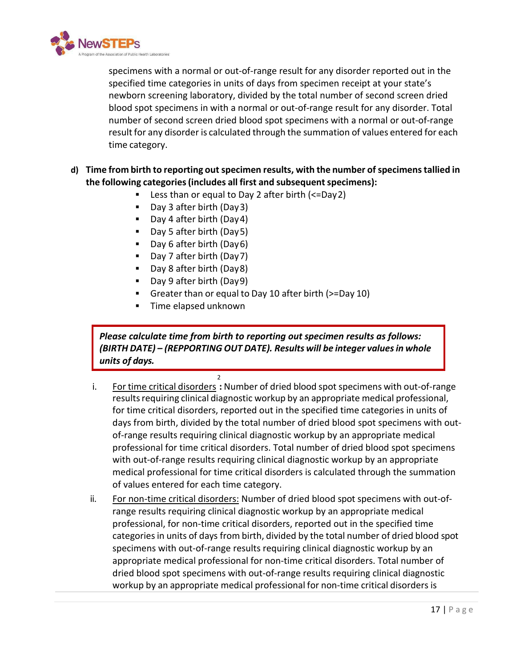

specimens with a normal or out-of-range result for any disorder reported out in the specified time categories in units of days from specimen receipt at your state's newborn screening laboratory, divided by the total number of second screen dried blood spot specimens in with a normal or out-of-range result for any disorder. Total number of second screen dried blood spot specimens with a normal or out-of-range result for any disorder is calculated through the summation of values entered for each time category.

#### **d) Time from birth to reporting out specimen results, with the number ofspecimenstallied in the following categories(includes all first and subsequentspecimens):**

- Less than or equal to Day 2 after birth (<=Day2)
- Day 3 after birth (Day3)
- Day 4 after birth (Day4)
- Day 5 after birth (Day5)
- Day 6 after birth (Day6)
- Day 7 after birth (Day 7)
- Day 8 after birth (Day8)
- Day 9 after birth (Day 9)
- Greater than or equal to Day 10 after birth (>=Day 10)
- **Time elapsed unknown**

*Please calculate time from birth to reporting out specimen results as follows: (BIRTH DATE) – (REPPORTING OUT DATE). Results will be integer valuesin whole units of days.*

- 2 i. For time critical disorders **:** Number of dried blood spot specimens with out-of-range results requiring clinical diagnostic workup by an appropriate medical professional, for time critical disorders, reported out in the specified time categories in units of days from birth, divided by the total number of dried blood spot specimens with outof-range results requiring clinical diagnostic workup by an appropriate medical professional for time critical disorders. Total number of dried blood spot specimens with out-of-range results requiring clinical diagnostic workup by an appropriate medical professional for time critical disorders is calculated through the summation of values entered for each time category.
- ii. For non-time critical disorders: Number of dried blood spot specimens with out-ofrange results requiring clinical diagnostic workup by an appropriate medical professional, for non-time critical disorders, reported out in the specified time categoriesin units of days from birth, divided by the total number of dried blood spot specimens with out-of-range results requiring clinical diagnostic workup by an appropriate medical professional for non-time critical disorders. Total number of dried blood spot specimens with out-of-range results requiring clinical diagnostic workup by an appropriate medical professional for non-time critical disorders is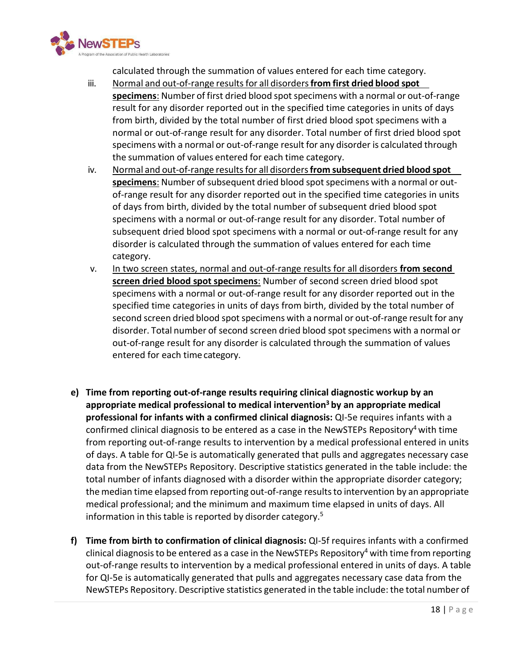

calculated through the summation of values entered for each time category.

- iii. Normal and out-of-range resultsfor all disorders**from first dried blood spot specimens**: Number of first dried blood spotspecimens with a normal or out-of-range result for any disorder reported out in the specified time categories in units of days from birth, divided by the total number of first dried blood spot specimens with a normal or out-of-range result for any disorder. Total number of first dried blood spot specimens with a normal or out-of-range result for any disorder is calculated through the summation of values entered for each time category.
- iv. Normal and out-of-range resultsfor all disorders**from subsequent dried blood spot specimens**: Number of subsequent dried blood spotspecimens with a normal or outof-range result for any disorder reported out in the specified time categories in units of days from birth, divided by the total number of subsequent dried blood spot specimens with a normal or out-of-range result for any disorder. Total number of subsequent dried blood spot specimens with a normal or out-of-range result for any disorder is calculated through the summation of values entered for each time category.
- v. In two screen states, normal and out-of-range results for all disorders **from second screen dried blood spot specimens**: Number of second screen dried blood spot specimens with a normal or out-of-range result for any disorder reported out in the specified time categories in units of days from birth, divided by the total number of second screen dried blood spot specimens with a normal or out-of-range result for any disorder. Total number of second screen dried blood spot specimens with a normal or out-of-range result for any disorder is calculated through the summation of values entered for each time category.
- **e) Time from reporting out-of-range results requiring clinical diagnostic workup by an appropriate medical professional to medical intervention3 by an appropriate medical professional for infants with a confirmed clinical diagnosis:** QI-5e requires infants with a confirmed clinical diagnosis to be entered as a case in the NewSTEPs Repository<sup>4</sup> with time from reporting out-of-range results to intervention by a medical professional entered in units of days. A table for QI-5e is automatically generated that pulls and aggregates necessary case data from the NewSTEPs Repository. Descriptive statistics generated in the table include: the total number of infants diagnosed with a disorder within the appropriate disorder category; the median time elapsed from reporting out-of-range resultsto intervention by an appropriate medical professional; and the minimum and maximum time elapsed in units of days. All information in this table is reported by disorder category.<sup>5</sup>
- **f) Time from birth to confirmation of clinical diagnosis:** QI-5f requires infants with a confirmed clinical diagnosis to be entered as a case in the NewSTEPs Repository<sup>4</sup> with time from reporting out-of-range results to intervention by a medical professional entered in units of days. A table for QI-5e is automatically generated that pulls and aggregates necessary case data from the NewSTEPs Repository. Descriptive statistics generated in the table include: the total number of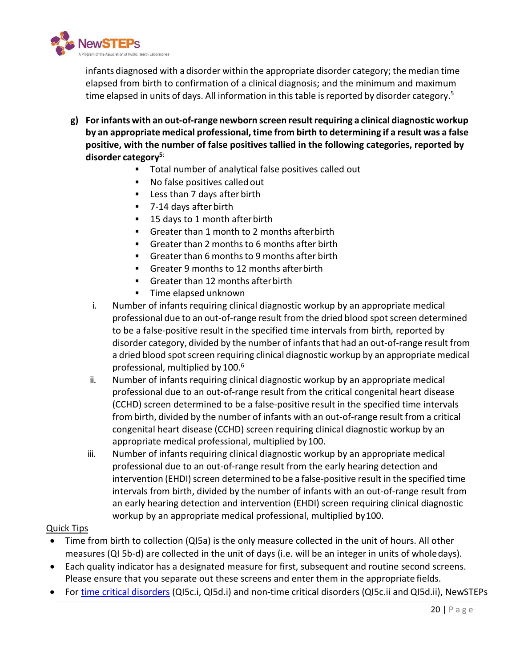

infants diagnosed with a disorder within the appropriate disorder category; the median time elapsed from birth to confirmation of a clinical diagnosis; and the minimum and maximum time elapsed in units of days. All information in this table is reported by disorder category.<sup>5</sup>

- **g) Forinfants with an out-of-range newborn screen resultrequiring a clinical diagnostic workup by an appropriate medical professional, time from birth to determining if a result was a false positive, with the number of false positives tallied in the following categories, reported by disorder category5**:
	- Total number of analytical false positives called out
	- No false positives called out
	- **Less than 7 days after birth**
	- 7-14 days after birth
	- 15 days to 1 month after birth
	- Greater than 1 month to 2 months afterbirth
	- Greater than 2 monthsto 6 months after birth
	- Greater than 6 months to 9 months after birth
	- Greater 9 months to 12 months afterbirth
	- Greater than 12 months after birth
	- **Time elapsed unknown**
	- i. Number of infants requiring clinical diagnostic workup by an appropriate medical professional due to an out-of-range result from the dried blood spotscreen determined to be a false-positive result in the specified time intervals from birth*,* reported by disorder category, divided by the number of infants that had an out-of-range result from a dried blood spot screen requiring clinical diagnostic workup by an appropriate medical professional, multiplied by 100. 6
	- ii. Number of infants requiring clinical diagnostic workup by an appropriate medical professional due to an out-of-range result from the critical congenital heart disease (CCHD) screen determined to be a false-positive result in the specified time intervals from birth, divided by the number of infants with an out-of-range result from a critical congenital heart disease (CCHD) screen requiring clinical diagnostic workup by an appropriate medical professional, multiplied by100.
	- iii. Number of infants requiring clinical diagnostic workup by an appropriate medical professional due to an out-of-range result from the early hearing detection and intervention (EHDI) screen determined to be a false-positive result in the specified time intervals from birth, divided by the number of infants with an out-of-range result from an early hearing detection and intervention (EHDI) screen requiring clinical diagnostic workup by an appropriate medical professional, multiplied by100.

#### Quick Tips

- Time from birth to collection (QI5a) is the only measure collected in the unit of hours. All other measures (QI 5b-d) are collected in the unit of days (i.e. will be an integer in units of wholedays).
- Each quality indicator has a designated measure for first, subsequent and routine second screens. Please ensure that you separate out these screens and enter them in the appropriate fields.
- For [time critical disorders](https://www.newsteps.org/sites/default/files/case-definitions/qi_source_document_time_critical_disorders_0.pdf) (QI5c.i, QI5d.i) and non-time critical disorders (QI5c.ii and QI5d.ii), NewSTEPs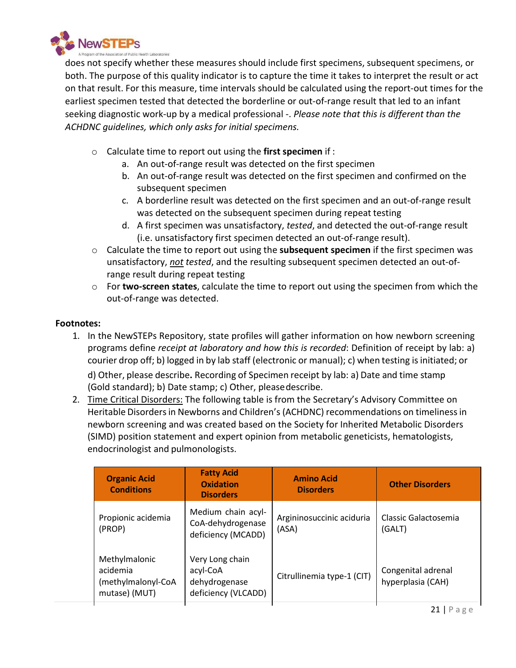

does not specify whether these measures should include first specimens, subsequent specimens, or both. The purpose of this quality indicator is to capture the time it takes to interpret the result or act on that result. For this measure, time intervals should be calculated using the report-out times for the earliest specimen tested that detected the borderline or out-of-range result that led to an infant seeking diagnostic work-up by a medical professional -. *Please note that this is different than the ACHDNC guidelines, which only asks for initial specimens.*

- o Calculate time to report out using the **first specimen** if :
	- a. An out-of-range result was detected on the first specimen
	- b. An out-of-range result was detected on the first specimen and confirmed on the subsequent specimen
	- c. A borderline result was detected on the first specimen and an out-of-range result was detected on the subsequent specimen during repeat testing
	- d. A first specimen was unsatisfactory, *tested*, and detected the out-of-range result (i.e. unsatisfactory first specimen detected an out-of-range result).
- o Calculate the time to report out using the **subsequent specimen** if the first specimen was unsatisfactory, *not tested*, and the resulting subsequent specimen detected an out-ofrange result during repeat testing
- o For **two-screen states**, calculate the time to report out using the specimen from which the out-of-range was detected.

- 1. In the NewSTEPs Repository, state profiles will gather information on how newborn screening programs define *receipt at laboratory and how this is recorded*: Definition of receipt by lab: a) courier drop off; b) logged in by lab staff (electronic or manual); c) when testing isinitiated; or d) Other, please describe**.** Recording of Specimen receipt by lab: a) Date and time stamp (Gold standard); b) Date stamp; c) Other, pleasedescribe.
- 2. Time Critical Disorders: The following table is from the Secretary's Advisory Committee on Heritable Disorders in Newborns and Children's (ACHDNC) recommendations on timeliness in newborn screening and was created based on the Society for Inherited Metabolic Disorders (SIMD) position statement and expert opinion from metabolic geneticists, hematologists, endocrinologist and pulmonologists.

| <b>Organic Acid</b><br><b>Conditions</b>                         | <b>Fatty Acid</b><br><b>Oxidation</b><br><b>Disorders</b>           | <b>Amino Acid</b><br><b>Disorders</b> | <b>Other Disorders</b>                  |
|------------------------------------------------------------------|---------------------------------------------------------------------|---------------------------------------|-----------------------------------------|
| Propionic acidemia<br>(PROP)                                     | Medium chain acyl-<br>CoA-dehydrogenase<br>deficiency (MCADD)       | Argininosuccinic aciduria<br>(ASA)    | Classic Galactosemia<br>(GALT)          |
| Methylmalonic<br>acidemia<br>(methylmalonyl-CoA<br>mutase) (MUT) | Very Long chain<br>acyl-CoA<br>dehydrogenase<br>deficiency (VLCADD) | Citrullinemia type-1 (CIT)            | Congenital adrenal<br>hyperplasia (CAH) |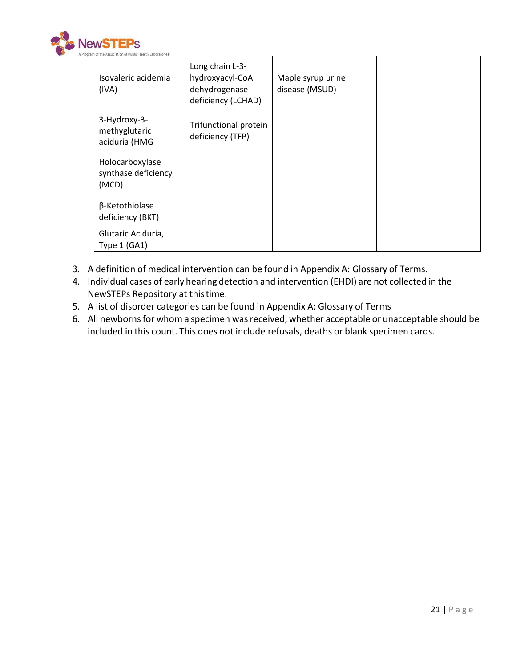

| am of the Association of Public Health Laboratories" |                                                                           |                                     |  |
|------------------------------------------------------|---------------------------------------------------------------------------|-------------------------------------|--|
| Isovaleric acidemia<br>(IVA)                         | Long chain L-3-<br>hydroxyacyl-CoA<br>dehydrogenase<br>deficiency (LCHAD) | Maple syrup urine<br>disease (MSUD) |  |
| 3-Hydroxy-3-<br>methyglutaric<br>aciduria (HMG       | Trifunctional protein<br>deficiency (TFP)                                 |                                     |  |
| Holocarboxylase<br>synthase deficiency<br>(MCD)      |                                                                           |                                     |  |
| β-Ketothiolase<br>deficiency (BKT)                   |                                                                           |                                     |  |
| Glutaric Aciduria,<br>Type 1 (GA1)                   |                                                                           |                                     |  |

- 3. A definition of medical intervention can be found in Appendix A: Glossary of Terms.
- 4. Individual cases of early hearing detection and intervention (EHDI) are not collected in the NewSTEPs Repository at thistime.
- 5. A list of disorder categories can be found in Appendix A: Glossary of Terms
- 6. All newborns for whom a specimen was received, whether acceptable or unacceptable should be included in this count. This does not include refusals, deaths or blank specimen cards.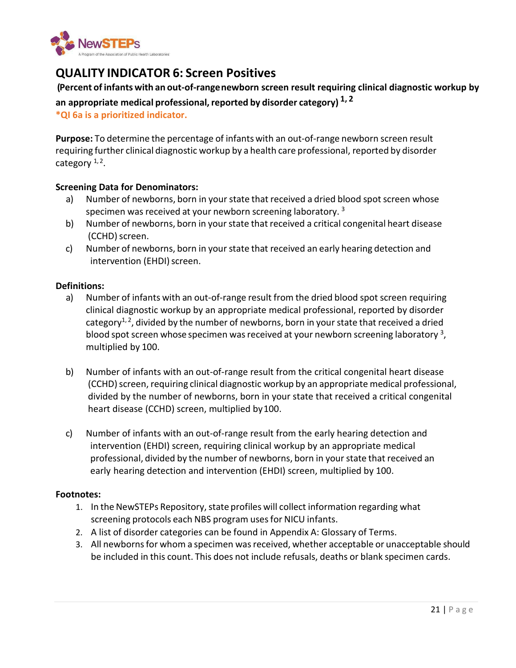

## <span id="page-25-0"></span>**QUALITY INDICATOR 6: Screen Positives**

#### **(Percent of infants with an out-of-rangenewborn screen result requiring clinical diagnostic workup by**

**an appropriate medical professional,reported by disorder category) 1, <sup>2</sup>**

**\*QI 6a is a prioritized indicator.** 

**Purpose:** To determine the percentage of infants with an out-of-range newborn screen result requiring further clinical diagnostic workup by a health care professional, reported by disorder category  $1, 2$ .

#### **Screening Data for Denominators:**

- a) Number of newborns, born in your state that received a dried blood spot screen whose specimen was received at your newborn screening laboratory.<sup>3</sup>
- b) Number of newborns, born in yourstate that received a critical congenital heart disease (CCHD) screen.
- c) Number of newborns, born in your state that received an early hearing detection and intervention (EHDI) screen.

#### **Definitions:**

- a) Number of infants with an out-of-range result from the dried blood spot screen requiring clinical diagnostic workup by an appropriate medical professional, reported by disorder category<sup>1, 2</sup>, divided by the number of newborns, born in your state that received a dried blood spot screen whose specimen was received at your newborn screening laboratory  $3$ , multiplied by 100.
- b) Number of infants with an out-of-range result from the critical congenital heart disease (CCHD) screen, requiring clinical diagnostic workup by an appropriate medical professional, divided by the number of newborns, born in your state that received a critical congenital heart disease (CCHD) screen, multiplied by100.
- c) Number of infants with an out-of-range result from the early hearing detection and intervention (EHDI) screen, requiring clinical workup by an appropriate medical professional, divided by the number of newborns, born in yourstate that received an early hearing detection and intervention (EHDI) screen, multiplied by 100.

- 1. In the NewSTEPs Repository, state profiles will collect information regarding what screening protocols each NBS program uses for NICU infants.
- 2. A list of disorder categories can be found in Appendix A: Glossary of Terms.
- 3. All newborns for whom a specimen was received, whether acceptable or unacceptable should be included in this count. This does not include refusals, deaths or blank specimen cards.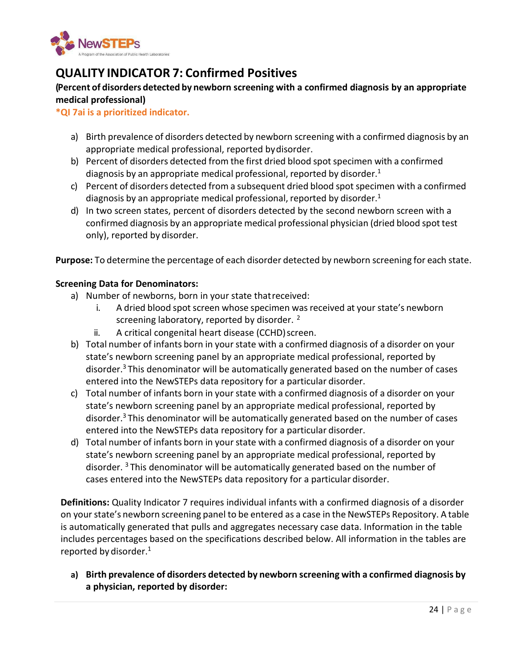

## <span id="page-26-0"></span>**QUALITY INDICATOR 7: Confirmed Positives**

#### **(Percent of disorders detected by newborn screening with a confirmed diagnosis by an appropriate medical professional)**

#### **\*QI 7ai is a prioritized indicator.**

- a) Birth prevalence of disorders detected by newborn screening with a confirmed diagnosis by an appropriate medical professional, reported bydisorder.
- b) Percent of disorders detected from the first dried blood spot specimen with a confirmed diagnosis by an appropriate medical professional, reported by disorder.<sup>1</sup>
- c) Percent of disorders detected from a subsequent dried blood spot specimen with a confirmed diagnosis by an appropriate medical professional, reported by disorder.1
- d) In two screen states, percent of disorders detected by the second newborn screen with a confirmed diagnosis by an appropriate medical professional physician (dried blood spot test only), reported by disorder.

**Purpose:** To determine the percentage of each disorder detected by newborn screening for each state.

#### **Screening Data for Denominators:**

- a) Number of newborns, born in your state thatreceived:
	- i. A dried blood spot screen whose specimen was received at your state's newborn screening laboratory, reported by disorder.<sup>2</sup>
	- ii. A critical congenital heart disease (CCHD) screen.
- b) Total number of infants born in your state with a confirmed diagnosis of a disorder on your state's newborn screening panel by an appropriate medical professional, reported by disorder.<sup>3</sup> This denominator will be automatically generated based on the number of cases entered into the NewSTEPs data repository for a particular disorder.
- c) Total number of infants born in your state with a confirmed diagnosis of a disorder on your state's newborn screening panel by an appropriate medical professional, reported by disorder.<sup>3</sup> This denominator will be automatically generated based on the number of cases entered into the NewSTEPs data repository for a particular disorder.
- d) Total number of infants born in yourstate with a confirmed diagnosis of a disorder on your state's newborn screening panel by an appropriate medical professional, reported by disorder. <sup>3</sup> This denominator will be automatically generated based on the number of cases entered into the NewSTEPs data repository for a particular disorder.

**Definitions:** Quality Indicator 7 requires individual infants with a confirmed diagnosis of a disorder on your state's newborn screening panel to be entered as a case in the NewSTEPs Repository. A table is automatically generated that pulls and aggregates necessary case data. Information in the table includes percentages based on the specifications described below. All information in the tables are reported by disorder.1

**a) Birth prevalence of disorders detected by newborn screening with a confirmed diagnosis by a physician, reported by disorder:**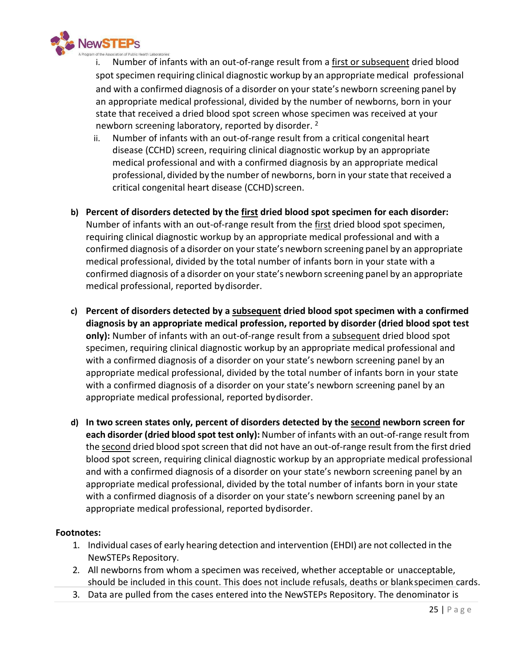

Number of infants with an out-of-range result from a first or subsequent dried blood spot specimen requiring clinical diagnostic workup by an appropriate medical professional and with a confirmed diagnosis of a disorder on your state's newborn screening panel by an appropriate medical professional, divided by the number of newborns, born in your state that received a dried blood spot screen whose specimen was received at your newborn screening laboratory, reported by disorder.<sup>2</sup>

- ii. Number of infants with an out-of-range result from a critical congenital heart disease (CCHD) screen, requiring clinical diagnostic workup by an appropriate medical professional and with a confirmed diagnosis by an appropriate medical professional, divided by the number of newborns, born in yourstate that received a critical congenital heart disease (CCHD) screen.
- **b) Percent of disorders detected by the first dried blood spot specimen for each disorder:**  Number of infants with an out-of-range result from the first dried blood spot specimen, requiring clinical diagnostic workup by an appropriate medical professional and with a confirmed diagnosis of a disorder on your state's newborn screening panel by an appropriate medical professional, divided by the total number of infants born in your state with a confirmed diagnosis of a disorder on your state's newborn screening panel by an appropriate medical professional, reported bydisorder.
- **c) Percent of disorders detected by a subsequent dried blood spot specimen with a confirmed diagnosis by an appropriate medical profession, reported by disorder (dried blood spot test only):** Number of infants with an out-of-range result from a subsequent dried blood spot specimen, requiring clinical diagnostic workup by an appropriate medical professional and with a confirmed diagnosis of a disorder on your state's newborn screening panel by an appropriate medical professional, divided by the total number of infants born in your state with a confirmed diagnosis of a disorder on your state's newborn screening panel by an appropriate medical professional, reported bydisorder.
- **d) In two screen states only, percent of disorders detected by the second newborn screen for each disorder (dried blood spot test only):** Number of infants with an out-of-range result from the second dried blood spot screen that did not have an out-of-range result from the first dried blood spot screen, requiring clinical diagnostic workup by an appropriate medical professional and with a confirmed diagnosis of a disorder on your state's newborn screening panel by an appropriate medical professional, divided by the total number of infants born in your state with a confirmed diagnosis of a disorder on your state's newborn screening panel by an appropriate medical professional, reported bydisorder.

- 1. Individual cases of early hearing detection and intervention (EHDI) are not collected in the NewSTEPs Repository.
- 2. All newborns from whom a specimen was received, whether acceptable or unacceptable, should be included in this count. This does not include refusals, deaths or blankspecimen cards.
- 3. Data are pulled from the cases entered into the NewSTEPs Repository. The denominator is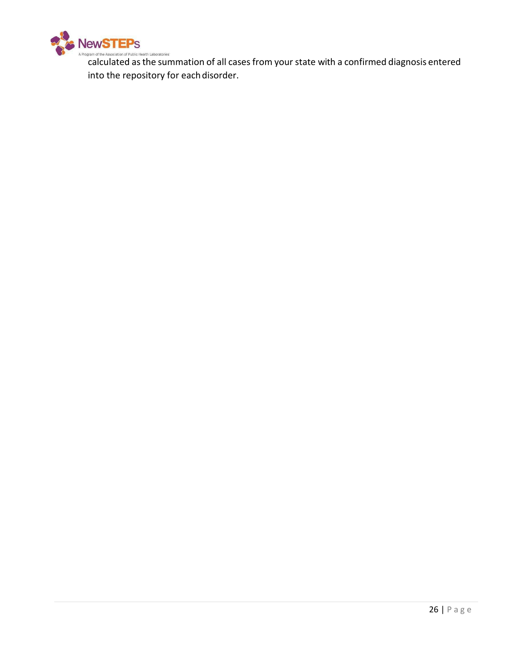

**CALCULATED ASSOCIALD FOR DEAL TRANGE CONFIRMATION CONFIRMATION** CALCULATED AS CONFIRMED diagnosis entered into the repository for each disorder.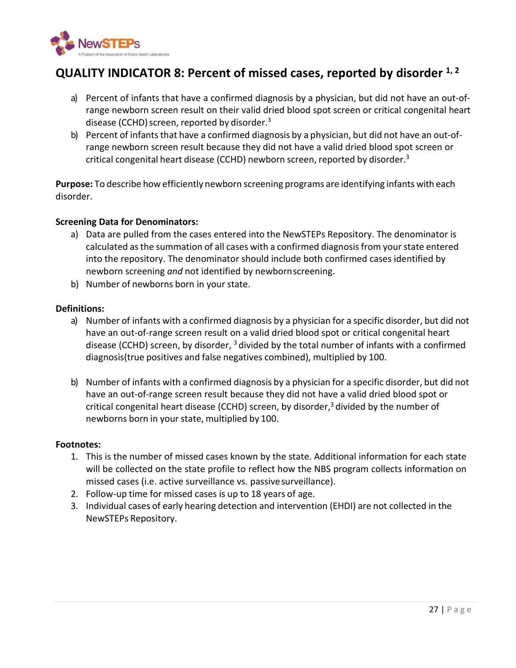

## <span id="page-29-0"></span>**QUALITY INDICATOR 8: Percent of missed cases, reported by disorder 1, 2**

- a) Percent of infants that have a confirmed diagnosis by a physician, but did not have an out-ofrange newborn screen result on their valid dried blood spot screen or critical congenital heart disease (CCHD) screen, reported by disorder. $3$
- b) Percent of infants that have a confirmed diagnosis by a physician, but did not have an out-ofrange newborn screen result because they did not have a valid dried blood spot screen or critical congenital heart disease (CCHD) newborn screen, reported by disorder.3

**Purpose:** To describe how efficiently newborn screening programs are identifying infants with each disorder.

#### **Screening Data for Denominators:**

- a) Data are pulled from the cases entered into the NewSTEPs Repository. The denominator is calculated asthe summation of all cases with a confirmed diagnosisfrom yourstate entered into the repository. The denominator should include both confirmed cases identified by newborn screening *and* not identified by newbornscreening.
- b) Number of newborns born in your state.

#### **Definitions:**

- a) Number of infants with a confirmed diagnosis by a physician for a specific disorder, but did not have an out-of-range screen result on a valid dried blood spot or critical congenital heart disease (CCHD) screen, by disorder,  $3$  divided by the total number of infants with a confirmed diagnosis(true positives and false negatives combined), multiplied by 100.
- b) Number of infants with a confirmed diagnosis by a physician for a specific disorder, but did not have an out-of-range screen result because they did not have a valid dried blood spot or critical congenital heart disease (CCHD) screen, by disorder, $3$  divided by the number of newborns born in your state, multiplied by 100.

- 1. This is the number of missed cases known by the state. Additional information for each state will be collected on the state profile to reflect how the NBS program collects information on missed cases (i.e. active surveillance vs. passivesurveillance).
- 2. Follow-up time for missed cases is up to 18 years of age.
- 3. Individual cases of early hearing detection and intervention (EHDI) are not collected in the NewSTEPs Repository.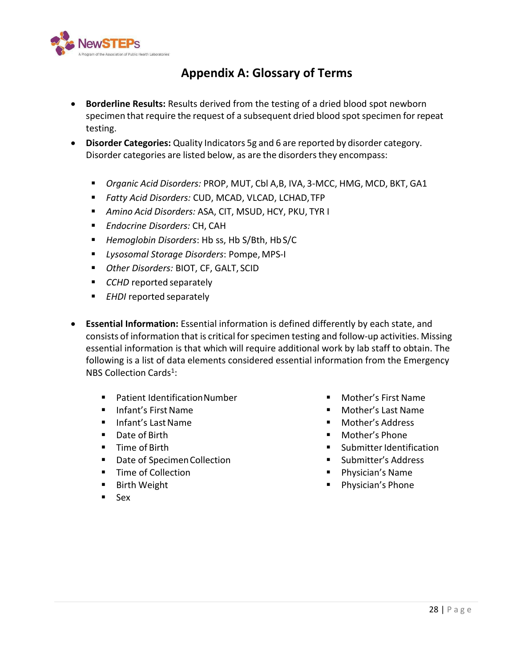<span id="page-30-0"></span>

## **Appendix A: Glossary of Terms**

- **Borderline Results:** Results derived from the testing of a dried blood spot newborn specimen that require the request of a subsequent dried blood spot specimen for repeat testing.
- **Disorder Categories:** Quality Indicators 5g and 6 are reported by disorder category. Disorder categories are listed below, as are the disorders they encompass:
	- *Organic Acid Disorders:* PROP, MUT, Cbl A,B, IVA, 3-MCC, HMG, MCD, BKT, GA1
	- *Fatty Acid Disorders:* CUD, MCAD, VLCAD, LCHAD,TFP
	- *Amino Acid Disorders:* ASA, CIT, MSUD, HCY, PKU, TYR I
	- *Endocrine Disorders:* CH, CAH
	- *Hemoglobin Disorders*: Hb ss, Hb S/Bth, HbS/C
	- *Lysosomal Storage Disorders*: Pompe, MPS-I
	- *Other Disorders:* BIOT, CF, GALT, SCID
	- *CCHD* reported separately
	- **EHDI** reported separately
- **Essential Information:** Essential information is defined differently by each state, and consists of information that is critical for specimen testing and follow-up activities. Missing essential information is that which will require additional work by lab staff to obtain. The following is a list of data elements considered essential information from the Emergency NBS Collection Cards<sup>1</sup>:
	- Patient IdentificationNumber
	- Infant's First Name
	- Infant's Last Name
	- Date of Birth
	- **Time of Birth**
	- **Date of Specimen Collection**
	- **Time of Collection**
	- Birth Weight
	- Sex
- Mother's First Name
- Mother's Last Name
- **Mother's Address**
- Mother's Phone
- $\blacksquare$  Submitter Identification
- **Submitter's Address**
- Physician's Name
- **Physician's Phone**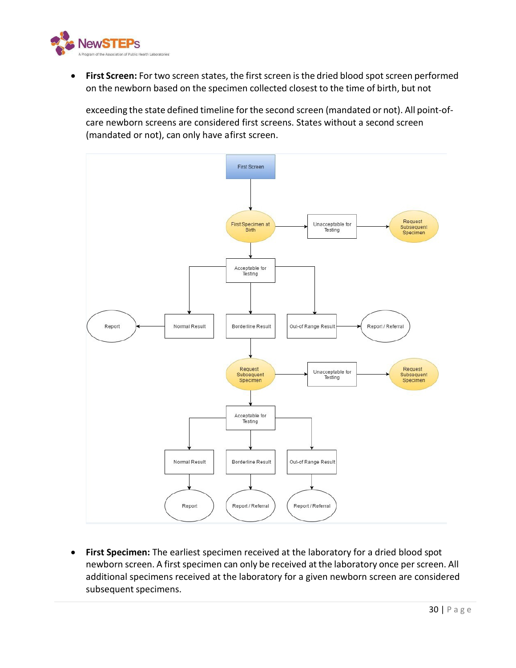

**• First Screen:** For two screen states, the first screen is the dried blood spot screen performed on the newborn based on the specimen collected closest to the time of birth, but not

exceeding the state defined timeline for the second screen (mandated or not). All point-ofcare newborn screens are considered first screens. States without a second screen (mandated or not), can only have afirst screen.



• **First Specimen:** The earliest specimen received at the laboratory for a dried blood spot newborn screen. A first specimen can only be received at the laboratory once per screen. All additional specimens received at the laboratory for a given newborn screen are considered subsequent specimens.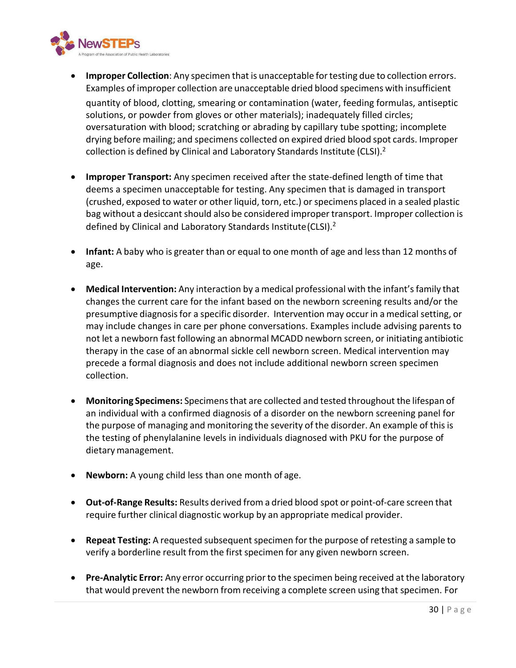

- **Improper Collection**: Any specimen that is unacceptable for testing due to collection errors. Examples of improper collection are unacceptable dried blood specimens with insufficient quantity of blood, clotting, smearing or contamination (water, feeding formulas, antiseptic solutions, or powder from gloves or other materials); inadequately filled circles; oversaturation with blood; scratching or abrading by capillary tube spotting; incomplete drying before mailing; and specimens collected on expired dried blood spot cards. Improper collection is defined by Clinical and Laboratory Standards Institute (CLSI).<sup>2</sup>
- **Improper Transport:** Any specimen received after the state-defined length of time that deems a specimen unacceptable for testing. Any specimen that is damaged in transport (crushed, exposed to water or other liquid, torn, etc.) or specimens placed in a sealed plastic bag without a desiccant should also be considered improper transport. Improper collection is defined by Clinical and Laboratory Standards Institute (CLSI).<sup>2</sup>
- **Infant:** A baby who is greater than or equal to one month of age and lessthan 12 months of age.
- **Medical Intervention:** Any interaction by a medical professional with the infant'sfamily that changes the current care for the infant based on the newborn screening results and/or the presumptive diagnosisfor a specific disorder. Intervention may occur in a medical setting, or may include changes in care per phone conversations. Examples include advising parents to not let a newborn fast following an abnormal MCADD newborn screen, or initiating antibiotic therapy in the case of an abnormal sickle cell newborn screen. Medical intervention may precede a formal diagnosis and does not include additional newborn screen specimen collection.
- **Monitoring Specimens:** Specimensthat are collected and tested throughout the lifespan of an individual with a confirmed diagnosis of a disorder on the newborn screening panel for the purpose of managing and monitoring the severity of the disorder. An example of this is the testing of phenylalanine levels in individuals diagnosed with PKU for the purpose of dietarymanagement.
- **Newborn:** A young child less than one month of age.
- **Out-of-Range Results:** Results derived from a dried blood spot or point-of-care screen that require further clinical diagnostic workup by an appropriate medical provider.
- **Repeat Testing:** A requested subsequent specimen for the purpose of retesting a sample to verify a borderline result from the first specimen for any given newborn screen.
- **Pre-Analytic Error:** Any error occurring priorto the specimen being received at the laboratory that would prevent the newborn from receiving a complete screen using that specimen. For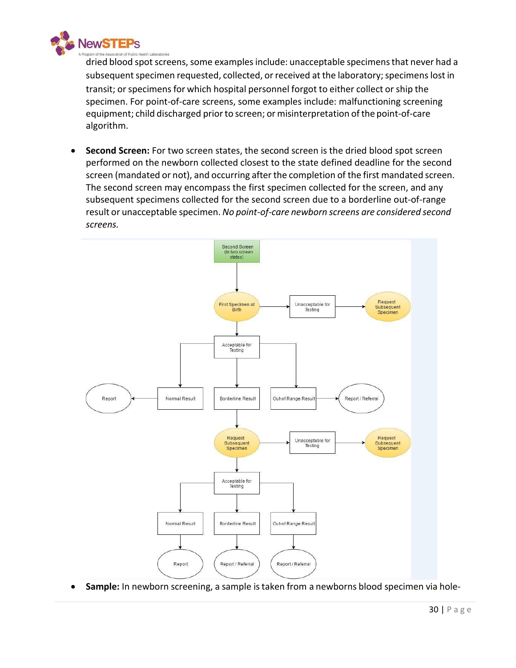

dried blood spot screens, some examples include: unacceptable specimens that never had a subsequent specimen requested, collected, or received at the laboratory; specimens lost in transit; or specimens for which hospital personnel forgot to either collect or ship the specimen. For point-of-care screens, some examples include: malfunctioning screening equipment; child discharged prior to screen; or misinterpretation of the point-of-care algorithm.

• **Second Screen:** For two screen states, the second screen is the dried blood spot screen performed on the newborn collected closest to the state defined deadline for the second screen (mandated or not), and occurring after the completion of the first mandated screen. The second screen may encompass the first specimen collected for the screen, and any subsequent specimens collected for the second screen due to a borderline out-of-range result or unacceptable specimen. *No point-of-care newborn screens are considered second screens.*



• **Sample:** In newborn screening, a sample istaken from a newborns blood specimen via hole-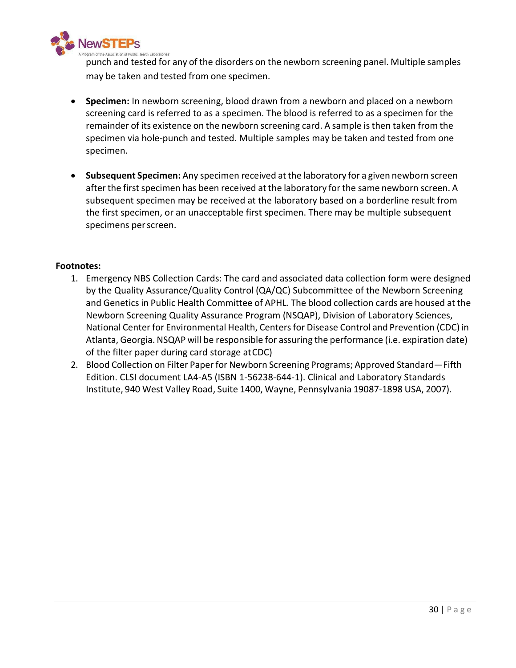

punch and tested for any of the disorders on the newborn screening panel. Multiple samples may be taken and tested from one specimen.

- **Specimen:** In newborn screening, blood drawn from a newborn and placed on a newborn screening card is referred to as a specimen. The blood is referred to as a specimen for the remainder of its existence on the newborn screening card. A sample isthen taken from the specimen via hole-punch and tested. Multiple samples may be taken and tested from one specimen.
- **Subsequent Specimen:** Any specimen received at the laboratory for a given newborn screen after the first specimen has been received at the laboratory for the same newborn screen. A subsequent specimen may be received at the laboratory based on a borderline result from the first specimen, or an unacceptable first specimen. There may be multiple subsequent specimens perscreen.

- 1. Emergency NBS Collection Cards: The card and associated data collection form were designed by the Quality Assurance/Quality Control (QA/QC) Subcommittee of the Newborn Screening and Genetics in Public Health Committee of APHL. The blood collection cards are housed at the Newborn Screening Quality Assurance Program (NSQAP), Division of Laboratory Sciences, National Centerfor Environmental Health, Centersfor Disease Control and Prevention (CDC) in Atlanta, Georgia. NSQAP will be responsible for assuring the performance (i.e. expiration date) of the filter paper during card storage atCDC)
- 2. Blood Collection on Filter Paper for Newborn Screening Programs; Approved Standard-Fifth Edition. CLSI document LA4-A5 (ISBN 1-56238-644-1). Clinical and Laboratory Standards Institute, 940 West Valley Road, Suite 1400, Wayne, Pennsylvania 19087-1898 USA, 2007).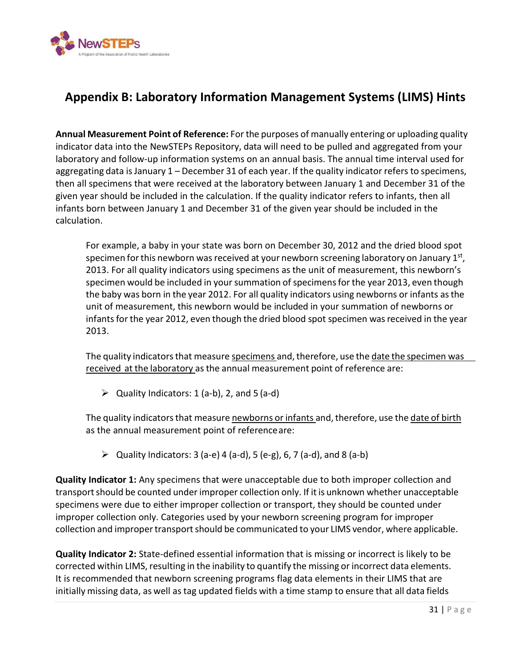

## <span id="page-35-0"></span>**Appendix B: Laboratory Information Management Systems (LIMS) Hints**

**Annual Measurement Point of Reference:** For the purposes of manually entering or uploading quality indicator data into the NewSTEPs Repository, data will need to be pulled and aggregated from your laboratory and follow-up information systems on an annual basis. The annual time interval used for aggregating data is January 1 – December 31 of each year. If the quality indicator refers to specimens, then all specimens that were received at the laboratory between January 1 and December 31 of the given year should be included in the calculation. If the quality indicator refers to infants, then all infants born between January 1 and December 31 of the given year should be included in the calculation.

For example, a baby in your state was born on December 30, 2012 and the dried blood spot specimen for this newborn was received at your newborn screening laboratory on January  $1<sup>st</sup>$ , 2013. For all quality indicators using specimens as the unit of measurement, this newborn's specimen would be included in your summation of specimens for the year 2013, even though the baby was born in the year 2012. For all quality indicators using newborns or infants asthe unit of measurement, this newborn would be included in your summation of newborns or infants for the year 2012, even though the dried blood spot specimen was received in the year 2013.

The quality indicators that measure specimens and, therefore, use the date the specimen was received at the laboratory as the annual measurement point of reference are:

 $\triangleright$  Quality Indicators: 1 (a-b), 2, and 5 (a-d)

The quality indicators that measure newborns or infants and, therefore, use the date of birth as the annual measurement point of referenceare:

 $\triangleright$  Quality Indicators: 3 (a-e) 4 (a-d), 5 (e-g), 6, 7 (a-d), and 8 (a-b)

**Quality Indicator 1:** Any specimens that were unacceptable due to both improper collection and transport should be counted under improper collection only. If it is unknown whether unacceptable specimens were due to either improper collection or transport, they should be counted under improper collection only. Categories used by your newborn screening program for improper collection and impropertransportshould be communicated to your LIMS vendor, where applicable.

**Quality Indicator 2:** State-defined essential information that is missing or incorrect is likely to be corrected within LIMS, resulting in the inability to quantify the missing or incorrect data elements. It is recommended that newborn screening programs flag data elements in their LIMS that are initially missing data, as well as tag updated fields with a time stamp to ensure that all data fields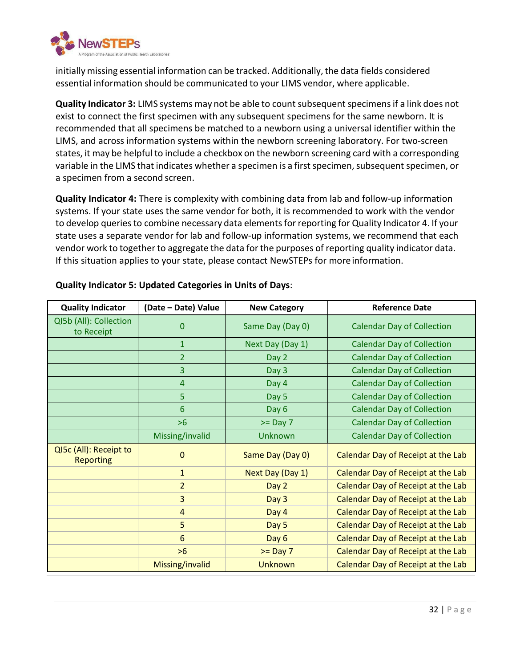

initially missing essential information can be tracked. Additionally, the data fields considered essential information should be communicated to your LIMS vendor, where applicable.

**Quality Indicator 3:** LIMS systems may not be able to count subsequent specimens if a link does not exist to connect the first specimen with any subsequent specimens for the same newborn. It is recommended that all specimens be matched to a newborn using a universal identifier within the LIMS, and across information systems within the newborn screening laboratory. For two-screen states, it may be helpful to include a checkbox on the newborn screening card with a corresponding variable in the LIMS that indicates whether a specimen is a first specimen, subsequent specimen, or a specimen from a second screen.

**Quality Indicator 4:** There is complexity with combining data from lab and follow-up information systems. If your state uses the same vendor for both, it is recommended to work with the vendor to develop queries to combine necessary data elements for reporting for Quality Indicator 4. If your state uses a separate vendor for lab and follow-up information systems, we recommend that each vendor work to together to aggregate the data for the purposes of reporting quality indicator data. If this situation applies to your state, please contact NewSTEPs for moreinformation.

| <b>Quality Indicator</b>                   | (Date - Date) Value | <b>New Category</b> | <b>Reference Date</b>              |
|--------------------------------------------|---------------------|---------------------|------------------------------------|
| QI5b (All): Collection<br>to Receipt       | $\Omega$            | Same Day (Day 0)    | <b>Calendar Day of Collection</b>  |
|                                            | $\mathbf{1}$        | Next Day (Day 1)    | <b>Calendar Day of Collection</b>  |
|                                            | $\overline{2}$      | Day 2               | <b>Calendar Day of Collection</b>  |
|                                            | 3                   | Day 3               | <b>Calendar Day of Collection</b>  |
|                                            | 4                   | Day 4               | <b>Calendar Day of Collection</b>  |
|                                            | 5                   | Day 5               | <b>Calendar Day of Collection</b>  |
|                                            | 6                   | Day 6               | <b>Calendar Day of Collection</b>  |
|                                            | $>6$                | $>=$ Day 7          | <b>Calendar Day of Collection</b>  |
|                                            | Missing/invalid     | <b>Unknown</b>      | <b>Calendar Day of Collection</b>  |
| QI5c (All): Receipt to<br><b>Reporting</b> | $\mathbf 0$         | Same Day (Day 0)    | Calendar Day of Receipt at the Lab |
|                                            | $\mathbf{1}$        | Next Day (Day 1)    | Calendar Day of Receipt at the Lab |
|                                            | $\overline{2}$      | Day 2               | Calendar Day of Receipt at the Lab |
|                                            | 3                   | Day 3               | Calendar Day of Receipt at the Lab |
|                                            | $\overline{4}$      | Day 4               | Calendar Day of Receipt at the Lab |
|                                            | 5                   | Day 5               | Calendar Day of Receipt at the Lab |
|                                            | 6                   | Day 6               | Calendar Day of Receipt at the Lab |
|                                            | $>6$                | $>=$ Day 7          | Calendar Day of Receipt at the Lab |
|                                            | Missing/invalid     | <b>Unknown</b>      | Calendar Day of Receipt at the Lab |

#### **Quality Indicator 5: Updated Categories in Units of Days**: